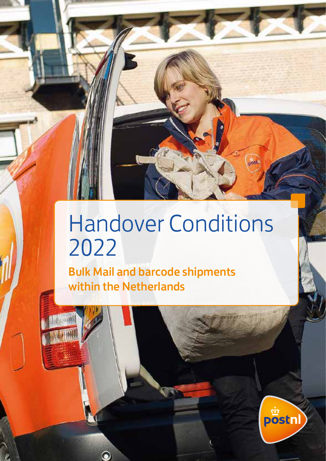# Handover Conditions 2022

Bulk Mail and barcode shipments within the Netherlands

 $\bullet$ 



 $T$  the table of contents of  $\mathcal{C}$ 

**Sect**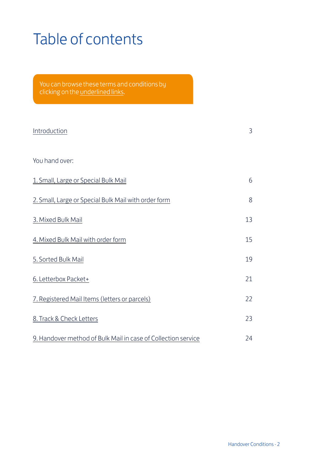### <span id="page-1-0"></span>Table of contents

clicking on the underlined links.

| Introduction                                                  | 3  |
|---------------------------------------------------------------|----|
| You hand over:                                                |    |
| 1. Small, Large or Special Bulk Mail                          | 6  |
| 2. Small, Large or Special Bulk Mail with order form          | 8  |
| 3. Mixed Bulk Mail                                            | 13 |
| 4. Mixed Bulk Mail with order form                            | 15 |
| 5. Sorted Bulk Mail                                           | 19 |
| 6. Letterbox Packet+                                          | 21 |
| 7. Registered Mail Items (letters or parcels)                 | 22 |
| 8. Track & Check Letters                                      | 23 |
| 9. Handover method of Bulk Mail in case of Collection service | 24 |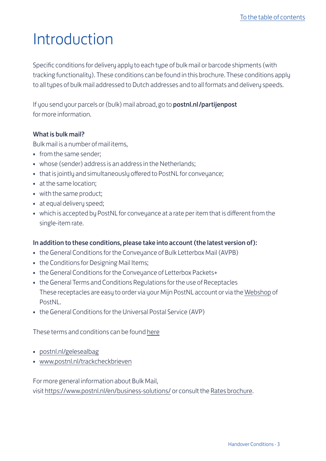### <span id="page-2-0"></span>Introduction

Specific conditions for delivery apply to each type of bulk mail or barcode shipments (with tracking functionality). These conditions can be found in this brochure. These conditions apply to all types of bulk mail addressed to Dutch addresses and to all formats and delivery speeds.

If you send your parcels or (bulk) mail abroad, go to **[postnl.nl/partijenpost](http://postnl.nl/partijenpost )** for more information.

#### What is bulk mail?

Bulk mail is a number of mail items,

- from the same sender;
- whose (sender) address is an address in the Netherlands;
- that is jointly and simultaneously offered to PostNL for conveyance;
- at the same location;
- with the same product;
- at equal delivery speed;
- which is accepted by PostNL for conveyance at a rate per item that is different from the single-item rate.

#### In addition to these conditions, please take into account (the latest version of):

- the General Conditions for the Conveuance of Bulk Letterbox Mail (AVPB)
- the Conditions for Designing Mail Items:
- the General Conditions for the Conveyance of Letterbox Packets+
- the General Terms and Conditions Regulations for the use of Receptacles These receptacles are easy to order via your Mijn PostNL account or via the [Webshop](www.postnl.nl/webshop) of **PostNL.**
- the General Conditions for the Universal Postal Service (AVP)

These terms and conditions can be found [here](http://www.postnl.nl/algemene-voorwaarden/alle-voorwaarden)

- [postnl.nl/gelesealbag](http://postnl.nl/gelesealbag)
- [www.postnl.nl/trackcheckbrieven](http://www.postnl.nl/trackcheckbrieven)

For more general information about Bulk Mail, visit [https://www.postnl.nl/en/business-solutions/](http://postnl.nl/zakelijke-oplossingen) or consult the [Rates brochure.](https://www.postnl.nl/tarieven)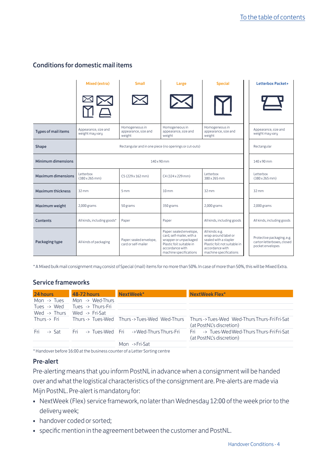#### Conditions for domestic mail items

|                            | Mixed (extra)                                                         | <b>Small</b>                                     | Large                                                                                                                                                   | <b>Special</b>                                                                                                                                 | Letterbox Packet+                                                            |
|----------------------------|-----------------------------------------------------------------------|--------------------------------------------------|---------------------------------------------------------------------------------------------------------------------------------------------------------|------------------------------------------------------------------------------------------------------------------------------------------------|------------------------------------------------------------------------------|
|                            |                                                                       |                                                  |                                                                                                                                                         |                                                                                                                                                |                                                                              |
| <b>Tupes of mail items</b> | Appearance, size and<br>weight may vary                               | Homogeneous in<br>appearance, size and<br>weight | Homogeneous in<br>appearance, size and<br>weight                                                                                                        | Homogeneous in<br>appearance, size and<br>weight                                                                                               | Appearance, size and<br>weight may vary                                      |
| Shape                      | Rectangular and in one piece (no openings or cut-outs)<br>Rectangular |                                                  |                                                                                                                                                         |                                                                                                                                                |                                                                              |
| Minimum dimensions         | $140 \times 90$ mm                                                    |                                                  |                                                                                                                                                         | $140 \times 90$ mm                                                                                                                             |                                                                              |
| <b>Maximum dimensions</b>  | Letterbox<br>$(380 \times 265 \text{ mm})$                            | C5 (229 x 162 mm)                                | C4 (324 x 229 mm)                                                                                                                                       | Letterbox<br>380 x 265 mm                                                                                                                      | Letterbox<br>$(380 \times 265 \text{ mm})$                                   |
| <b>Maximum thickness</b>   | $32 \, \text{mm}$                                                     | 5mm                                              | 10 <sub>mm</sub>                                                                                                                                        | $32$ mm                                                                                                                                        | 32mm                                                                         |
| Maximum weight             | $2,000$ grams                                                         | 50 grams                                         | 350 grams                                                                                                                                               | $2,000$ grams                                                                                                                                  | $2,000$ grams                                                                |
| <b>Contents</b>            | All kinds, including goods*                                           | Paper                                            | Paper                                                                                                                                                   | All kinds, including goods                                                                                                                     | All kinds, including goods                                                   |
| Packaging type             | All kinds of packaging                                                | Paper: sealed envelope,<br>card or self-mailer   | Paper: sealed envelope,<br>card, self-mailer, with a<br>wrapper or unpackaged<br>Plastic foil: suitable in<br>accordance with<br>machine specifications | All kinds: e.g.<br>wrap-around label or<br>sealed with a stapler<br>Plastic foil: not suitable in<br>accordance with<br>machine specifications | Protective packaging, e.g.<br>carton letterboxes, closed<br>pocket envelopes |

\* A Mixed bulk mail consignment may consist of Special (mail) items for no more than 50%. In case of more than 50%, this will be Mixed Extra.

#### Service frameworks

| 24 hours     | <b>48-72 hours</b> | NextWeek*                                             | NextWeek Flex*                                                                                                          |
|--------------|--------------------|-------------------------------------------------------|-------------------------------------------------------------------------------------------------------------------------|
| Mon -> Tues  | Mon -> Wed-Thurs   |                                                       |                                                                                                                         |
| Tues -> Wed  | Tues -> Thurs-Fri  |                                                       |                                                                                                                         |
| Wed -> Thurs | Wed -> Fri-Sat     |                                                       |                                                                                                                         |
| Thurs -> Fri |                    |                                                       | Thurs -> Tues-Wed Thurs -> Tues-Wed Wed-Thurs Thurs -> Tues-Wed Wed-Thurs Thurs-Fri Fri-Sat<br>(at PostNL's discretion) |
|              |                    | Fri -> Sat Fri -> Tues-Wed Fri -> Wed-Thurs Thurs-Fri | -> Tues-Wed Wed-Thurs Thurs-Fri Fri-Sat<br>Fri<br>(at PostNL's discretion)                                              |
|              |                    | Mon ->Fri-Sat                                         |                                                                                                                         |

\* Handover before 16:00 at the business counter of a Letter Sorting centre

#### Pre-alert

Pre-alerting means that you inform PostNL in advance when a consignment will be handed over and what the logistical characteristics of the consignment are. Pre-alerts are made via Mijn PostNL. Pre-alert is mandatory for:

- NextWeek (Flex) service framework, no later than Wednesday 12:00 of the week prior to the delivery week;
- handover coded or sorted;
- specific mention in the agreement between the customer and PostNL.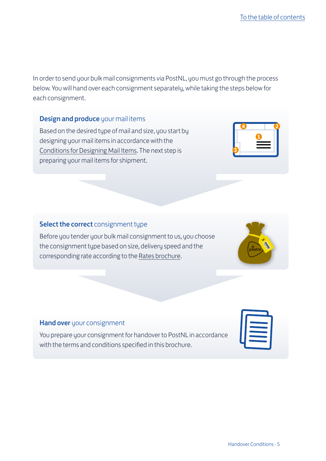In order to send your bulk mail consignments via PostNL, you must go through the process below. You will hand over each consignment separately, while taking the steps below for each consignment.

#### Design and produce your mail items

Based on the desired type of mail and size, you start by designing your mail items in accordance with the [Conditions for Designing Mail Items.](http://www.postnl.nl/vormgeven) The next step is preparing your mail items for shipment.

#### Select the correct consignment type

Before you tender your bulk mail consignment to us, you choose the consignment type based on size, delivery speed and the corresponding rate according to the [Rates brochure](http://www.postnl.nl/tarieven).

#### Hand over your consignment

You prepare your consignment for handover to PostNL in accordance with the terms and conditions specified in this brochure.





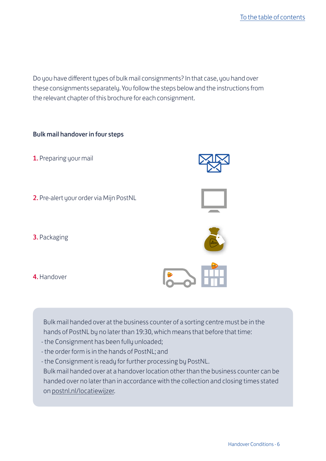Do you have different types of bulk mail consignments? In that case, you hand over these consignments separately. You follow the steps below and the instructions from the relevant chapter of this brochure for each consignment.

#### Bulk mail handover in four steps

- 1. Preparing your mail
- 2. Pre-alert your order via Mijn PostNL







4. Handover



Bulk mail handed over at the business counter of a sorting centre must be in the hands of PostNL by no later than 19:30, which means that before that time:

- the Consignment has been fully unloaded;
- the order form is in the hands of PostNL; and
- the Consignment is ready for further processing by PostNL.

Bulk mail handed over at a handover location other than the business counter can be handed over no later than in accordance with the collection and closing times stated on [postnl.nl/locatiewijzer](http://postnl.nl/locatiewijzer).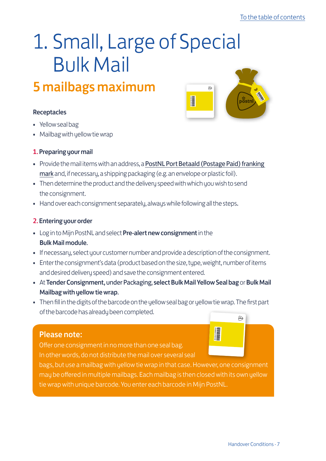### <span id="page-6-0"></span>1. Small, Large of Special Bulk Mail

### 5 mailbags maximum

#### Receptacles

- Yellow seal bag
- Mailbag with yellow tie wrap

#### 1. Preparing your mail

• Provide the mail items with an address, a [PostNL Port Betaald \(Postage Paid\) franking](https://www.postnl.nl/klantenservice/bestellen-en-downloaden/documentatie-downloaden/port-betaald-aanduiding/?searchResult=position2)  [mark](https://www.postnl.nl/klantenservice/bestellen-en-downloaden/documentatie-downloaden/port-betaald-aanduiding/?searchResult=position2) and, if necessary, a shipping packaging (e.g. an envelope or plastic foil).

I

- Then determine the product and the delivery speed with which you wish to send the consignment.
- Hand over each consignment separately, always while following all the steps.

#### 2. Entering your order

- Log in to Mijn PostNL and select Pre-alert new consignment in the Bulk Mail module.
- If necessary, select your customer number and provide a description of the consignment.
- Enter the consignment's data (product based on the size, tupe, weight, number of items and desired delivery speed) and save the consignment entered.
- At Tender Consignment, under Packaging, select Bulk Mail Yellow Seal bag or Bulk Mail Mailbag with yellow tie wrap.
- Then fill in the digits of the barcode on the yellow seal bag or yellow tie wrap. The first part of the barcode has already been completed.  $(x)$

#### Please note:

Offer one consignment in no more than one seal bag. In other words, do not distribute the mail over several seal

bags, but use a mailbag with yellow tie wrap in that case. However, one consignment may be offered in multiple mailbags. Each mailbag is then closed with its own yellow tie wrap with unique barcode. You enter each barcode in Mijn PostNL.

I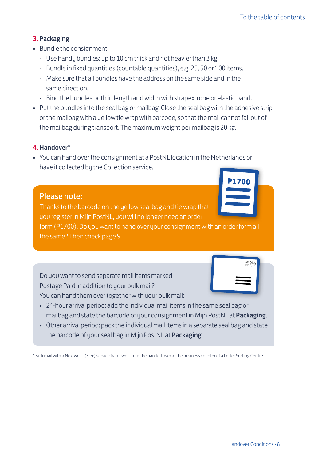#### 3. Packaging

- Bundle the consignment:
	- Use handy bundles: up to 10 cm thick and not heavier than 3 kg.
	- Bundle in fixed quantities (countable quantities), e.g. 25, 50 or 100 items.
	- Make sure that all bundles have the address on the same side and in the same direction.
	- Bind the bundles both in length and width with strapex, rope or elastic band.
- Put the bundles into the seal bag or mailbag. Close the seal bag with the adhesive strip or the mailbag with a yellow tie wrap with barcode, so that the mail cannot fall out of the mailbag during transport. The maximum weight per mailbag is 20 kg.

#### 4. Handover\*

• You can hand over the consignment at a PostNL location in the Netherlands or have it collected by the [Collection service](http://www.postnl.nl/haalservice).

### Please note:

Thanks to the barcode on the yellow seal bag and tie wrap that you register in Mijn PostNL, you will no longer need an order form (P1700). Do you want to hand over your consignment with an order form all the same? Then check page 9.

Do you want to send separate mail items marked Postage Paid in addition to your bulk mail? You can hand them over together with your bulk mail:

- 24-hour arrival period: add the individual mail items in the same seal bag or mailbag and state the barcode of your consignment in Mijn PostNL at Packaging.
- Other arrival period: pack the individual mail items in a separate seal bag and state the barcode of your seal bag in Mijn PostNL at Packaging.

\* Bulk mail with a Nextweek (Flex) service framework must be handed over at the business counter of a Letter Sorting Centre.

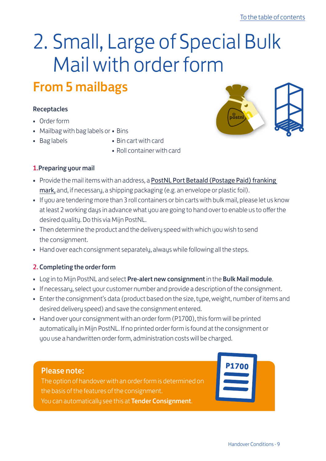## <span id="page-8-0"></span>2. Small, Large of Special Bulk Mail with order form

### From 5 mailbags

#### Receptacles

- Order form
- Mailbag with bag labels or Bins
- 
- Bag labels Bin cart with card
	- Roll container with card

#### 1.Preparing your mail

- Provide the mail items with an address, a [PostNL Port Betaald \(Postage Paid\) franking](https://www.postnl.nl/klantenservice/bestellen-en-downloaden/documentatie-downloaden/port-betaald-aanduiding/?searchResult=position2)  [mark,](https://www.postnl.nl/klantenservice/bestellen-en-downloaden/documentatie-downloaden/port-betaald-aanduiding/?searchResult=position2) and, if necessary, a shipping packaging (e.g. an envelope or plastic foil).
- If you are tendering more than 3 roll containers or bin carts with bulk mail, please let us know at least 2 working days in advance what you are going to hand over to enable us to offer the desired quality. Do this via Mijn PostNL.
- Then determine the product and the delivery speed with which you wish to send the consignment.
- Hand over each consignment separately, always while following all the steps.

#### 2. Completing the order form

- Log in to Mijn PostNL and select Pre-alert new consignment in the Bulk Mail module.
- If necessary, select your customer number and provide a description of the consignment.
- Enter the consignment's data (product based on the size, type, weight, number of items and desired delivery speed) and save the consignment entered.
- Hand over your consignment with an order form (P1700), this form will be printed automatically in Mijn PostNL. If no printed order form is found at the consignment or you use a handwritten order form, administration costs will be charged.

#### Please note:

The option of handover with an order form is determined on the basis of the features of the consignment. You can automatically see this at Tender Consignment.

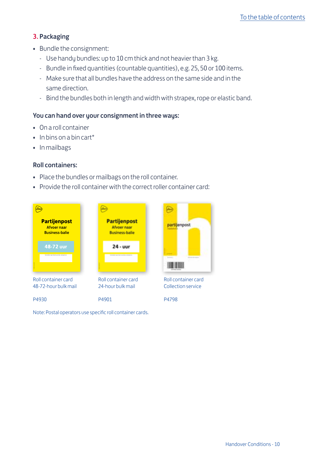#### 3. Packaging

- Bundle the consignment:
	- Use handy bundles: up to 10 cm thick and not heavier than 3 kg.
	- Bundle in fixed quantities (countable quantities), e.g. 25, 50 or 100 items.
	- Make sure that all bundles have the address on the same side and in the same direction.
	- Bind the bundles both in length and width with strapex, rope or elastic band.

#### You can hand over your consignment in three ways:

- On a roll container
- In bins on a bin cart\*
- In mailbags

#### Roll containers:

- Place the bundles or mailbags on the roll container.
- Provide the roll container with the correct roller container card:



Note: Postal operators use specific roll container cards.



Roll container card Collection service

P4798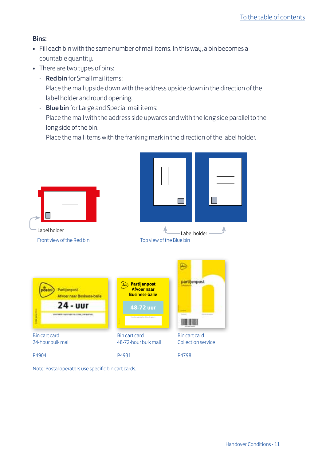#### Bins:

- Fill each bin with the same number of mail items. In this way, a bin becomes a countable quantity.
- There are two types of bins:
	- Red bin for Small mail items: Place the mail upside down with the address upside down in the direction of the label holder and round opening.
	- Blue bin for Large and Special mail items: Place the mail with the address side upwards and with the long side parallel to the long side of the bin.

Place the mail items with the franking mark in the direction of the label holder.



Note: Postal operators use specific bin cart cards.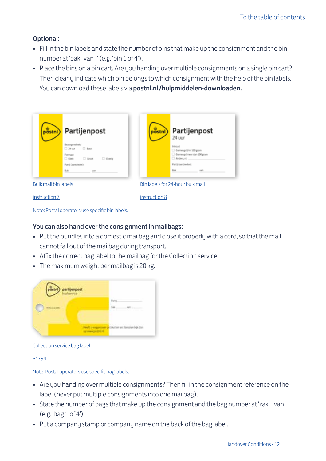#### Optional:

- Fill in the bin labels and state the number of bins that make up the consignment and the bin number at 'bak\_van\_' (e.g. 'bin 1 of 4').
- Place the bins on a bin cart. Are you handing over multiple consignments on a single bin cart? Then clearly indicate which bin belongs to which consignment with the help of the bin labels. You can download these labels via [postnl.nl/hulpmiddelen-downloaden](https://shop.postnl.nl/webshop/zakelijke-hulpmiddelen/logistieke-hulpmiddelen/bakkenkar-met-20-blauwe-bakken).

| (postni) | Partijenpost                                           | $\frac{1}{10}$ | Partijenpost<br>24 uur                  |
|----------|--------------------------------------------------------|----------------|-----------------------------------------|
|          | Bezorguneheid<br><b>C</b> Basic<br>$-34 \text{ m}$     |                | Inhoust<br>Gemengdishn 100 gram         |
|          | Formact<br>$\square$ Kisin<br>$\Box$ drast<br>□ Overig |                | Gemengdmeer dan 100 gram<br>Anders, nl. |
|          | Parti (aanbieder):                                     |                | Parts (aartweder):                      |
|          | Buk<br><b>VOID</b>                                     |                | Rak                                     |

[instruction 7](https://www.postnl.nl/Images/Baklabels-Partijenpost-PostNL_tcm10-10866.pdf)

[instruction 8](https://www.postnl.nl/Images/Baklabels-Partijenpost-gemengd-24uur-PostNL_tcm10-10750.pdf)

Note: Postal operators use specific bin labels.

#### You can also hand over the consignment in mailbags:

- Put the bundles into a domestic mailbag and close it properly with a cord, so that the mail cannot fall out of the mailbag during transport.
- Affix the correct bag label to the mailbag for the Collection service.
- The maximum weight per mailbag is 20 kg.

| <b>Thomas</b> |        |
|---------------|--------|
|               | $\sim$ |
|               |        |

#### Collection service bag label

P4794

Note: Postal operators use specific bag labels.

- Are you handing over multiple consignments? Then fill in the consignment reference on the label (never put multiple consignments into one mailbag).
- State the number of bags that make up the consignment and the bag number at 'zak \_ van \_' (e.g. 'bag 1 of 4').
- Put a company stamp or company name on the back of the bag label.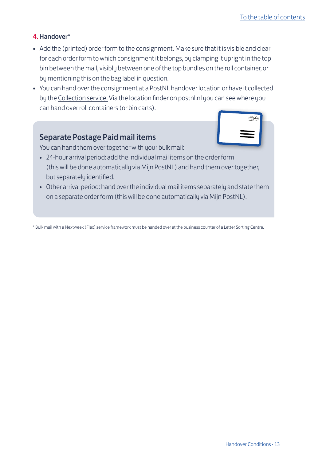#### 4. Handover\*

- Add the (printed) order form to the consignment. Make sure that it is visible and clear for each order form to which consignment it belongs, by clamping it upright in the top bin between the mail, visibly between one of the top bundles on the roll container, or by mentioning this on the bag label in question.
- You can hand over the consignment at a PostNL handover location or have it collected by the [Collection service](http://www.postnl.nl/haalservice). Via the location finder on postnl.nl you can see where you can hand over roll containers (or bin carts).

#### Separate Postage Paid mail items



You can hand them over together with your bulk mail:

- 24-hour arrival period: add the individual mail items on the order form (this will be done automatically via Mijn PostNL) and hand them over together, but separately identified.
- Other arrival period: hand over the individual mail items separately and state them on a separate order form (this will be done automatically via Mijn PostNL).

\* Bulk mail with a Nextweek (Flex) service framework must be handed over at the business counter of a Letter Sorting Centre.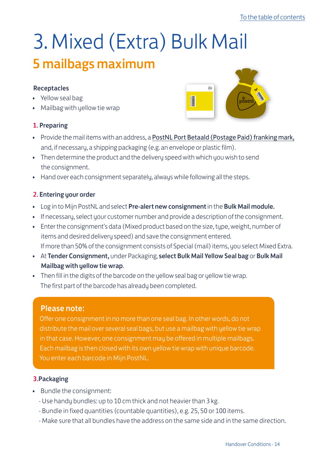# 3. Mixed (Extra) Bulk Mail

### 5 mailbags maximum

#### Receptacles

- Yellow seal bag
- Mailbag with yellow tie wrap

#### 1. Preparing



- Provide the mail items with an address, a [PostNL Port Betaald \(Postage Paid\) franking mark,](https://www.postnl.nl/klantenservice/bestellen-en-downloaden/documentatie-downloaden/port-betaald-aanduiding/?searchResult=position2) and, if necessary, a shipping packaging (e.g. an envelope or plastic film).
- Then determine the product and the delivery speed with which you wish to send the consignment.
- Hand over each consignment separately, always while following all the steps.

#### 2. Entering your order

- Log in to Mijn PostNL and select Pre-alert new consignment in the Bulk Mail module.
- If necessary, select your customer number and provide a description of the consignment.
- Enter the consignment's data (Mixed product based on the size, type, weight, number of items and desired delivery speed) and save the consignment entered. If more than 50% of the consignment consists of Special (mail) items, you select Mixed Extra.
- At Tender Consignment, under Packaging, select Bulk Mail Yellow Seal bag or Bulk Mail Mailbag with yellow tie wrap.
- Then fill in the digits of the barcode on the yellow seal bag or yellow tie wrap. The first part of the barcode has already been completed.

#### Please note:

Offer one consignment in no more than one seal bag. In other words, do not distribute the mail over several seal bags, but use a mailbag with yellow tie wrap in that case. However, one consignment may be offered in multiple mailbags. Each mailbag is then closed with its own yellow tie wrap with unique barcode. You enter each barcode in Mijn PostNL.

#### 3.Packaging

- Bundle the consignment:
	- Use handy bundles: up to 10 cm thick and not heavier than 3 kg.
	- Bundle in fixed quantities (countable quantities), e.g. 25, 50 or 100 items.
	- Make sure that all bundles have the address on the same side and in the same direction.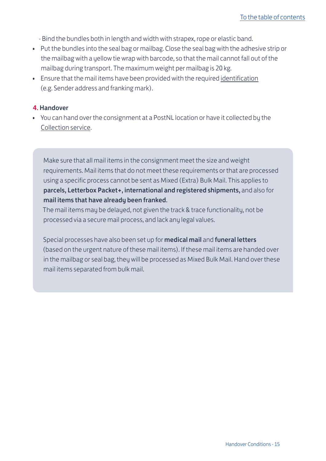- Bind the bundles both in length and width with strapex, rope or elastic band.
- Put the bundles into the seal bag or mailbag. Close the seal bag with the adhesive strip or the mailbag with a yellow tie wrap with barcode, so that the mail cannot fall out of the mailbag during transport. The maximum weight per mailbag is 20 kg.
- Ensure that the mail items have been provided with the required [identification](http://www.postnl.nl/vormgeven) (e.g. Sender address and franking mark).

#### 4. Handover

• You can hand over the consignment at a PostNL location or have it collected by the Collection service.

Make sure that all mail items in the consignment meet the size and weight requirements. Mail items that do not meet these requirements or that are processed using a specific process cannot be sent as Mixed (Extra) Bulk Mail. This applies to parcels, Letterbox Packet+, international and registered shipments, and also for mail items that have already been franked.

The mail items may be delayed, not given the track & trace functionality, not be processed via a secure mail process, and lack any legal values.

Special processes have also been set up for medical mail and funeral letters (based on the urgent nature of these mail items). If these mail items are handed over in the mailbag or seal bag, they will be processed as Mixed Bulk Mail. Hand over these mail items separated from bulk mail.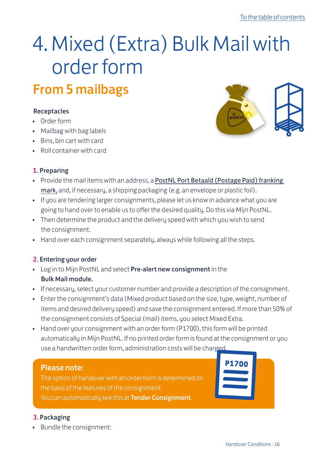### <span id="page-15-0"></span>4. Mixed (Extra) Bulk Mail with order form From 5 mailbags

#### Receptacles

- Order form
- Mailbag with bag labels
- Bins, bin cart with card
- Roll container with card

#### 1. Preparing

- Provide the mail items with an address, a [PostNL Port Betaald \(Postage Paid\) franking](https://www.postnl.nl/klantenservice/bestellen-en-downloaden/documentatie-downloaden/port-betaald-aanduiding/?searchResult=position2)  [mark,](https://www.postnl.nl/klantenservice/bestellen-en-downloaden/documentatie-downloaden/port-betaald-aanduiding/?searchResult=position2) and, if necessary, a shipping packaging (e.g. an envelope or plastic foil).
- If you are tendering larger consignments, please let us know in advance what you are going to hand over to enable us to offer the desired quality. Do this via Mijn PostNL.
- Then determine the product and the delivery speed with which you wish to send the consignment.
- Hand over each consignment separately, always while following all the steps.

#### 2. Entering your order

- Log in to Mijn PostNL and select Pre-alert new consignment in the Bulk Mail module.
- If necessary, select your customer number and provide a description of the consignment.
- Enter the consignment's data (Mixed product based on the size, type, weight, number of items and desired delivery speed) and save the consignment entered. If more than 50% of the consignment consists of Special (mail) items, you select Mixed Extra.
- Hand over your consignment with an order form (P1700), this form will be printed automatically in Mijn PostNL. If no printed order form is found at the consignment or you use a handwritten order form, administration costs will be charged.

#### Please note:

The option of handover with an order form is determined on the basis of the features of the consignment. You can automatically see this at Tender Consignment.

#### 3. Packaging

• Bundle the consignment:

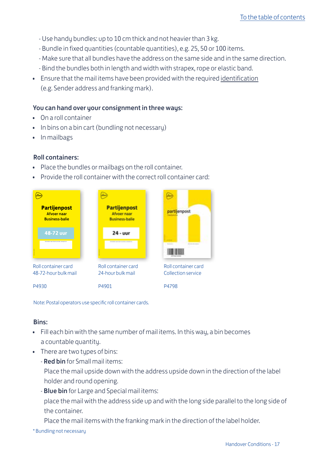- Use handy bundles: up to 10 cm thick and not heavier than 3 kg.
- Bundle in fixed quantities (countable quantities), e.g. 25, 50 or 100 items.
- Make sure that all bundles have the address on the same side and in the same direction.
- Bind the bundles both in length and width with strapex, rope or elastic band.
- Ensure that the mail items have been provided with the required [identification](http://www.postnl.nl/vormgeven) (e.g. Sender address and franking mark).

#### You can hand over your consignment in three ways:

- On a roll container
- In bins on a bin cart (bundling not necessary)
- In mailbags

#### Roll containers:

- Place the bundles or mailbags on the roll container.
- Provide the roll container with the correct roll container card:



Note: Postal operators use specific roll container cards.

#### Bins:

- Fill each bin with the same number of mail items. In this wau, a bin becomes a countable quantity.
- There are two types of bins:
	- Red bin for Small mail items:

Place the mail upside down with the address upside down in the direction of the label holder and round opening.

- **Blue bin** for Large and Special mail items:

place the mail with the address side up and with the long side parallel to the long side of the container.

Place the mail items with the franking mark in the direction of the label holder.

\* Bundling not necessary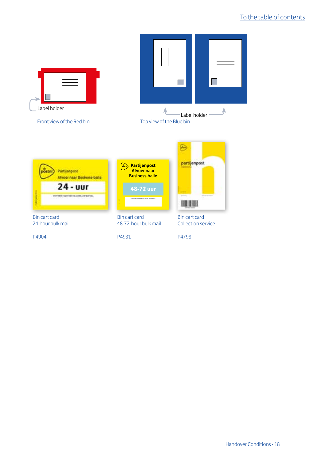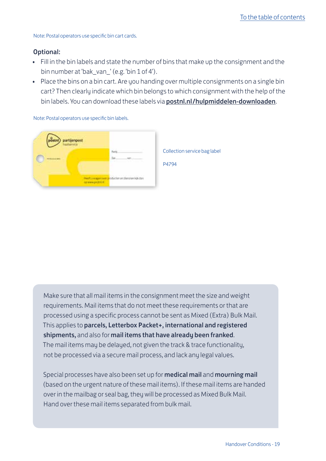Note: Postal operators use specific bin cart cards.

#### Optional:

- Fill in the bin labels and state the number of bins that make up the consignment and the bin number at 'bak\_van ' (e.g. 'bin 1 of 4').
- Place the bins on a bin cart. Are you handing over multiple consignments on a single bin cart? Then clearly indicate which bin belongs to which consignment with the help of the bin labels. You can download these labels via [postnl.nl/hulpmiddelen-downloaden](https://shop.postnl.nl/webshop/zakelijke-hulpmiddelen/logistieke-hulpmiddelen/bakkenkar-met-20-blauwe-bakken).

Note: Postal operators use specific bin labels.



Make sure that all mail items in the consignment meet the size and weight requirements. Mail items that do not meet these requirements or that are processed using a specific process cannot be sent as Mixed (Extra) Bulk Mail. This applies to parcels, Letterbox Packet+, international and registered shipments, and also for mail items that have already been franked. The mail items may be delayed, not given the track & trace functionality, not be processed via a secure mail process, and lack any legal values.

Special processes have also been set up for medical mail and mourning mail (based on the urgent nature of these mail items). If these mail items are handed over in the mailbag or seal bag, they will be processed as Mixed Bulk Mail. Hand over these mail items separated from bulk mail.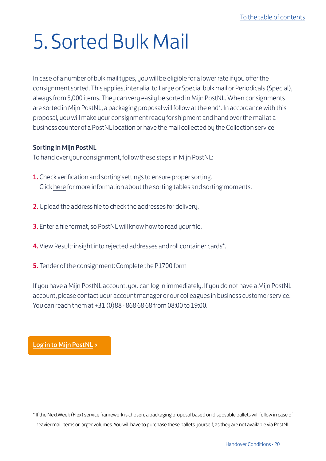## <span id="page-19-0"></span>5. Sorted Bulk Mail

In case of a number of bulk mail types, you will be eligible for a lower rate if you offer the consignment sorted. This applies, inter alia, to Large or Special bulk mail or Periodicals (Special), always from 5,000 items. They can very easily be sorted in Mijn PostNL. When consignments are sorted in Mijn PostNL, a packaging proposal will follow at the end\*. In accordance with this proposal, you will make your consignment ready for shipment and hand over the mail at a business counter of a PostNL location or have the mail collected by the [Collection service](http://www.postnl.nl/haalservice).

#### Sorting in Mijn PostNL

To hand over your consignment, follow these steps in Mijn PostNL:

- **1.** Check verification and sorting settings to ensure proper sorting. Click [here](http://postnl.nl/zakelijke-oplossingen/post-versturen/veel-post-versturen/sorteermomenten-in-mijnpost/) for more information about the sorting tables and sorting moments.
- 2. Upload the address file to check the [addresses](http://postnl.nl/klantenservice/mijnpost-adressencontrole/) for delivery.
- 3. Enter a file format, so PostNL will know how to read your file.
- 4. View Result: insight into rejected addresses and roll container cards\*.
- 5. Tender of the consignment: Complete the P1700 form

If you have a Mijn PostNL account, you can log in immediately. If you do not have a Mijn PostNL account, please contact your account manager or our colleagues in business customer service. You can reach them at +31 (0)88 - 868 68 68 from 08:00 to 19:00.

[Log in to Mijn PostNL](http://mijn.postnl.nl) >

\* If the NextWeek (Flex) service framework is chosen, a packaging proposal based on disposable pallets will follow in case of heavier mail items or larger volumes. You will have to purchase these pallets yourself, as they are not available via PostNL.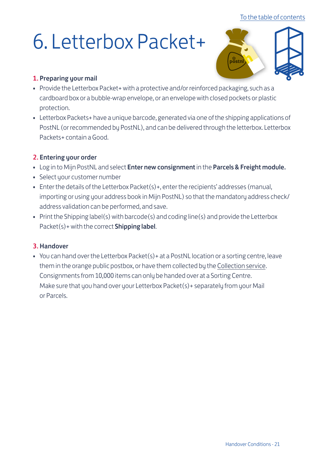#### [To the table of contents](#page-1-0)

## <span id="page-20-0"></span>6. Letterbox Packet+



#### 1. Preparing your mail

- Provide the Letterbox Packet + with a protective and/or reinforced packaging, such as a cardboard box or a bubble-wrap envelope, or an envelope with closed pockets or plastic protection.
- Letterbox Packets+ have a unique barcode, generated via one of the shipping applications of PostNL (or recommended by PostNL), and can be delivered through the letterbox. Letterbox Packets+ contain a Good.

#### 2. Entering your order

- Log in to Mijn PostNL and select Enter new consignment in the Parcels & Freight module.
- Select your customer number
- Enter the details of the Letterbox Packet(s)+, enter the recipients' addresses (manual, importing or using your address book in Mijn PostNL) so that the mandatory address check/ address validation can be performed, and save.
- Print the Shipping label(s) with barcode(s) and coding line(s) and provide the Letterbox Packet(s)+ with the correct **Shipping label.**

#### 3. Handover

• You can hand over the Letterbox Packet(s)+ at a PostNL location or a sorting centre, leave them in the orange public postbox, or have them collected by the [Collection service](http://www.postnl.nl/haalservice). Consignments from 10,000 items can only be handed over at a Sorting Centre. Make sure that you hand over your Letterbox Packet(s)+ separately from your Mail or Parcels.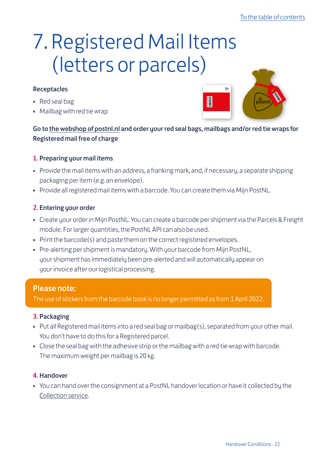## <span id="page-21-0"></span>7. Registered Mail Items (letters or parcels)

#### Receptacles

- Red seal bag
- Mailbag with red tie wrap



Go to the webshop of postnl.nl and order your red seal bags, mailbags and/or red tie wraps for Registered mail free of charge

#### 1. Preparing your mail items

- Provide the mail items with an address, a franking mark, and, if necessary, a separate shipping packaging per item (e.g. an envelope).
- Provide all registered mail items with a barcode. You can create them via Mijn PostNL.

#### 2. Entering your order

- Create your order in Mijn PostNL. You can create a barcode per shipment via the Parcels & Freight module. For larger quantities, the PostNL API can also be used.
- Print the barcode(s) and paste them on the correct registered envelopes.
- Pre-alerting per shipment is mandatory. With your barcode from Mijn PostNL, your shipment has immediately been pre-alerted and will automatically appear on your invoice after our logistical processing.

#### Please note:

The use of stickers from the barcode book is no longer permitted as from 1 April 2022.

#### 3. Packaging

- Put all Registered mail items into a red seal bag or mailbag(s), separated from your other mail. You don't have to do this for a Registered parcel.
- Close the seal bag with the adhesive strip or the mailbag with a red tie wrap with barcode. The maximum weight per mailbag is 20 kg.

#### 4. Handover

• You can hand over the consignment at a PostNL handover location or have it collected by the [Collection service](http://www.postnl.nl/haalservice).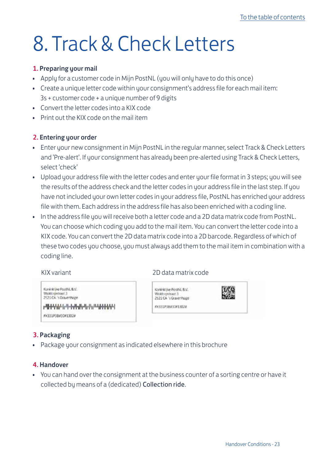## <span id="page-22-0"></span>8. Track & Check Letters

#### 1. Preparing your mail

- Apply for a customer code in Mijn PostNL (you will only have to do this once)
- Create a unique letter code within your consignment's address file for each mail item: 3s + customer code + a unique number of 9 digits
- Convert the letter codes into a KIX code
- Print out the KIX code on the mail item

#### 2. Entering your order

- Enter your new consignment in Mijn PostNL in the regular manner, select Track & Check Letters and 'Pre-alert'. If your consignment has already been pre-alerted using Track & Check Letters, select 'check'
- Upload your address file with the letter codes and enter your file format in 3 steps; you will see the results of the address check and the letter codes in your address file in the last step. If you have not included your own letter codes in your address file, PostNL has enriched your address file with them. Each address in the address file has also been enriched with a coding line.
- In the address file you will receive both a letter code and a 2D data matrix code from PostNL. You can choose which coding you add to the mail item. You can convert the letter code into a KIX code. You can convert the 2D data matrix code into a 2D barcode. Regardless of which of these two codes you choose, you must always add them to the mail item in combination with a coding line.

KIX variant 2D data matrix code

| rénitive PoutNL B.V.<br>Abbryon/cast 3<br>21 CA 's Grave Hape | Koninklike PostAL B.V.<br>Widdowsstraat 3<br>2521 CA 's Gravenhage |  |
|---------------------------------------------------------------|--------------------------------------------------------------------|--|
| ╟╋╋╋╬╚╤╝┉╂┲╂┰╟┰╙╬┆╠╩╩╋╇╊╊╋┶╏                                  | IN 331P3B#31#13024                                                 |  |
| 331P3B#3D#1302#                                               |                                                                    |  |

#### 3. Packaging

 $\frac{1}{2}$  $_{pl}$ à.

• Package your consignment as indicated elsewhere in this brochure

#### 4. Handover

• You can hand over the consignment at the business counter of a sorting centre or have it collected by means of a (dedicated) [Collection ride](http://www.postnl.nl/haalservice).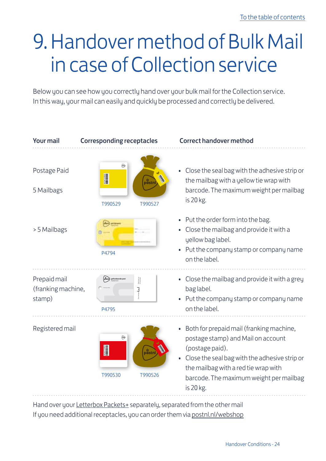## <span id="page-23-0"></span>9. Handover method of Bulk Mail in case of Collection service

Below you can see how you correctly hand over your bulk mail for the Collection service. In this way, your mail can easily and quickly be processed and correctly be delivered.



Hand over your [Letterbox Packets+](http://www.postnl.nl/brievenbuspakje) separately, separated from the other mail If you need additional receptacles, you can order them via [postnl.nl/w](https://www.postnl.nl/webshop/)ebshop PNL 110699 Leaflet\_WI\_labels\_WT.indd 1 NL 24-11-11 10:41 4-11-11